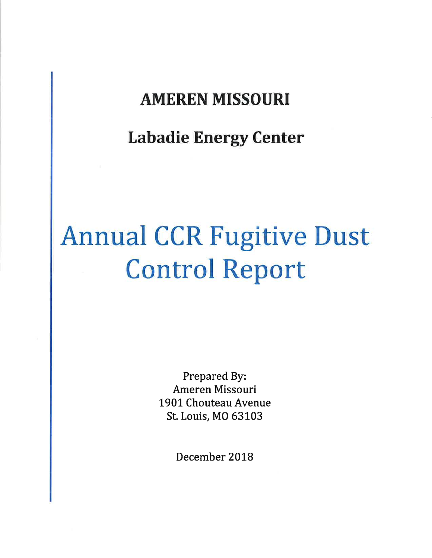# AMEREN MISSOURI

# Labadie Energy Center

# Annual CCR Fugitive Dust Control Report

Prepared By: Ameren Missouri 1901 Chouteau Avenue St. Louis, MO 63103

December 2018